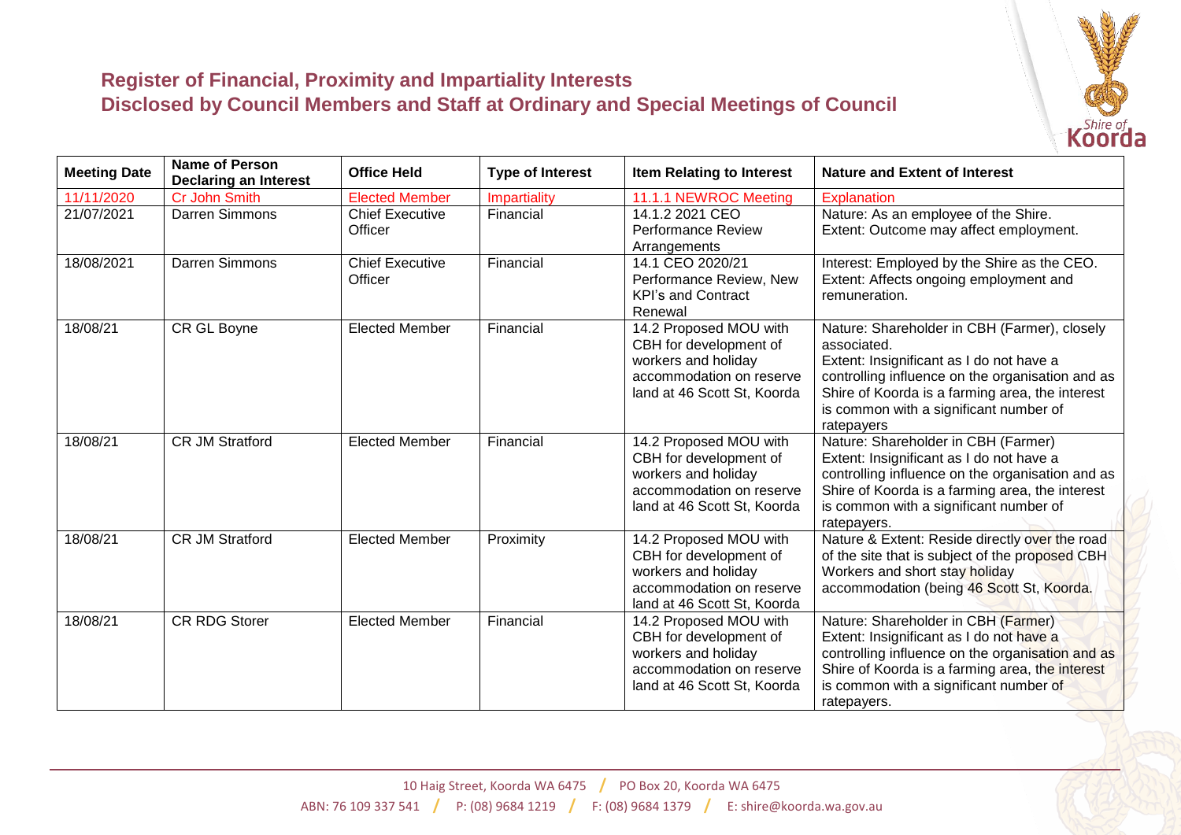

## **Register of Financial, Proximity and Impartiality Interests Disclosed by Council Members and Staff at Ordinary and Special Meetings of Council**

| <b>Meeting Date</b> | <b>Name of Person</b><br><b>Declaring an Interest</b> | <b>Office Held</b>                | <b>Type of Interest</b> | <b>Item Relating to Interest</b>                                                                                                   | <b>Nature and Extent of Interest</b>                                                                                                                                                                                                                                   |
|---------------------|-------------------------------------------------------|-----------------------------------|-------------------------|------------------------------------------------------------------------------------------------------------------------------------|------------------------------------------------------------------------------------------------------------------------------------------------------------------------------------------------------------------------------------------------------------------------|
| 11/11/2020          | Cr John Smith                                         | <b>Elected Member</b>             | Impartiality            | 11.1.1 NEWROC Meeting                                                                                                              | Explanation                                                                                                                                                                                                                                                            |
| 21/07/2021          | Darren Simmons                                        | <b>Chief Executive</b><br>Officer | Financial               | 14.1.2 2021 CEO<br><b>Performance Review</b><br>Arrangements                                                                       | Nature: As an employee of the Shire.<br>Extent: Outcome may affect employment.                                                                                                                                                                                         |
| 18/08/2021          | <b>Darren Simmons</b>                                 | <b>Chief Executive</b><br>Officer | Financial               | 14.1 CEO 2020/21<br>Performance Review, New<br><b>KPI's and Contract</b><br>Renewal                                                | Interest: Employed by the Shire as the CEO.<br>Extent: Affects ongoing employment and<br>remuneration.                                                                                                                                                                 |
| 18/08/21            | CR GL Boyne                                           | <b>Elected Member</b>             | Financial               | 14.2 Proposed MOU with<br>CBH for development of<br>workers and holiday<br>accommodation on reserve<br>land at 46 Scott St, Koorda | Nature: Shareholder in CBH (Farmer), closely<br>associated.<br>Extent: Insignificant as I do not have a<br>controlling influence on the organisation and as<br>Shire of Koorda is a farming area, the interest<br>is common with a significant number of<br>ratepayers |
| 18/08/21            | <b>CR JM Stratford</b>                                | <b>Elected Member</b>             | Financial               | 14.2 Proposed MOU with<br>CBH for development of<br>workers and holiday<br>accommodation on reserve<br>land at 46 Scott St, Koorda | Nature: Shareholder in CBH (Farmer)<br>Extent: Insignificant as I do not have a<br>controlling influence on the organisation and as<br>Shire of Koorda is a farming area, the interest<br>is common with a significant number of<br>ratepayers.                        |
| 18/08/21            | <b>CR JM Stratford</b>                                | <b>Elected Member</b>             | Proximity               | 14.2 Proposed MOU with<br>CBH for development of<br>workers and holiday<br>accommodation on reserve<br>land at 46 Scott St, Koorda | Nature & Extent: Reside directly over the road<br>of the site that is subject of the proposed CBH<br>Workers and short stay holiday<br>accommodation (being 46 Scott St, Koorda.                                                                                       |
| 18/08/21            | <b>CR RDG Storer</b>                                  | <b>Elected Member</b>             | Financial               | 14.2 Proposed MOU with<br>CBH for development of<br>workers and holiday<br>accommodation on reserve<br>land at 46 Scott St, Koorda | Nature: Shareholder in CBH (Farmer)<br>Extent: Insignificant as I do not have a<br>controlling influence on the organisation and as<br>Shire of Koorda is a farming area, the interest<br>is common with a significant number of<br>ratepayers.                        |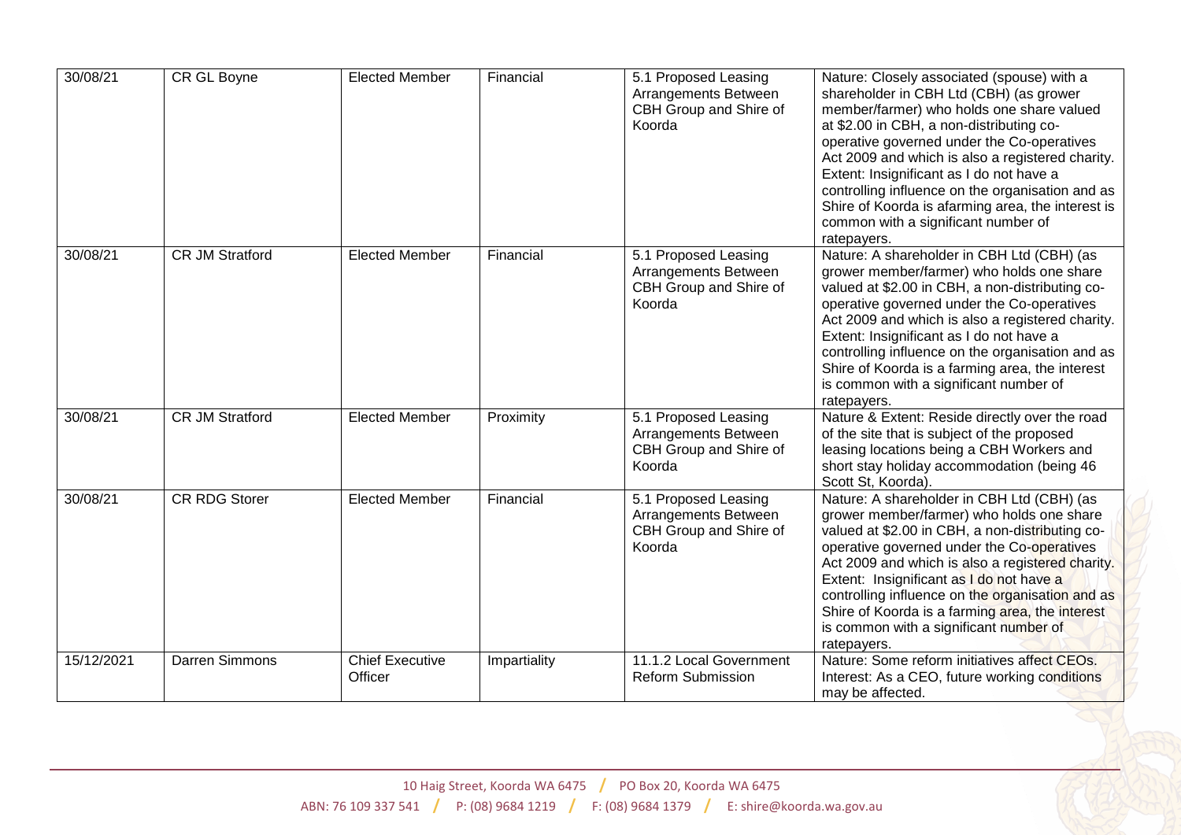| 30/08/21   | CR GL Boyne            | <b>Elected Member</b>      | Financial    | 5.1 Proposed Leasing<br>Arrangements Between<br>CBH Group and Shire of<br>Koorda | Nature: Closely associated (spouse) with a<br>shareholder in CBH Ltd (CBH) (as grower<br>member/farmer) who holds one share valued<br>at \$2.00 in CBH, a non-distributing co-<br>operative governed under the Co-operatives<br>Act 2009 and which is also a registered charity.<br>Extent: Insignificant as I do not have a<br>controlling influence on the organisation and as<br>Shire of Koorda is afarming area, the interest is<br>common with a significant number of<br>ratepayers. |
|------------|------------------------|----------------------------|--------------|----------------------------------------------------------------------------------|---------------------------------------------------------------------------------------------------------------------------------------------------------------------------------------------------------------------------------------------------------------------------------------------------------------------------------------------------------------------------------------------------------------------------------------------------------------------------------------------|
| 30/08/21   | <b>CR JM Stratford</b> | <b>Elected Member</b>      | Financial    | 5.1 Proposed Leasing<br>Arrangements Between<br>CBH Group and Shire of<br>Koorda | Nature: A shareholder in CBH Ltd (CBH) (as<br>grower member/farmer) who holds one share<br>valued at \$2.00 in CBH, a non-distributing co-<br>operative governed under the Co-operatives<br>Act 2009 and which is also a registered charity.<br>Extent: Insignificant as I do not have a<br>controlling influence on the organisation and as<br>Shire of Koorda is a farming area, the interest<br>is common with a significant number of<br>ratepayers.                                    |
| 30/08/21   | <b>CR JM Stratford</b> | <b>Elected Member</b>      | Proximity    | 5.1 Proposed Leasing<br>Arrangements Between<br>CBH Group and Shire of<br>Koorda | Nature & Extent: Reside directly over the road<br>of the site that is subject of the proposed<br>leasing locations being a CBH Workers and<br>short stay holiday accommodation (being 46<br>Scott St, Koorda).                                                                                                                                                                                                                                                                              |
| 30/08/21   | <b>CR RDG Storer</b>   | <b>Elected Member</b>      | Financial    | 5.1 Proposed Leasing<br>Arrangements Between<br>CBH Group and Shire of<br>Koorda | Nature: A shareholder in CBH Ltd (CBH) (as<br>grower member/farmer) who holds one share<br>valued at \$2.00 in CBH, a non-distributing co-<br>operative governed under the Co-operatives<br>Act 2009 and which is also a registered charity.<br>Extent: Insignificant as I do not have a<br>controlling influence on the organisation and as<br>Shire of Koorda is a farming area, the interest<br>is common with a significant number of<br>ratepayers.                                    |
| 15/12/2021 | Darren Simmons         | Chief Executive<br>Officer | Impartiality | 11.1.2 Local Government<br><b>Reform Submission</b>                              | Nature: Some reform initiatives affect CEOs.<br>Interest: As a CEO, future working conditions<br>may be affected.                                                                                                                                                                                                                                                                                                                                                                           |